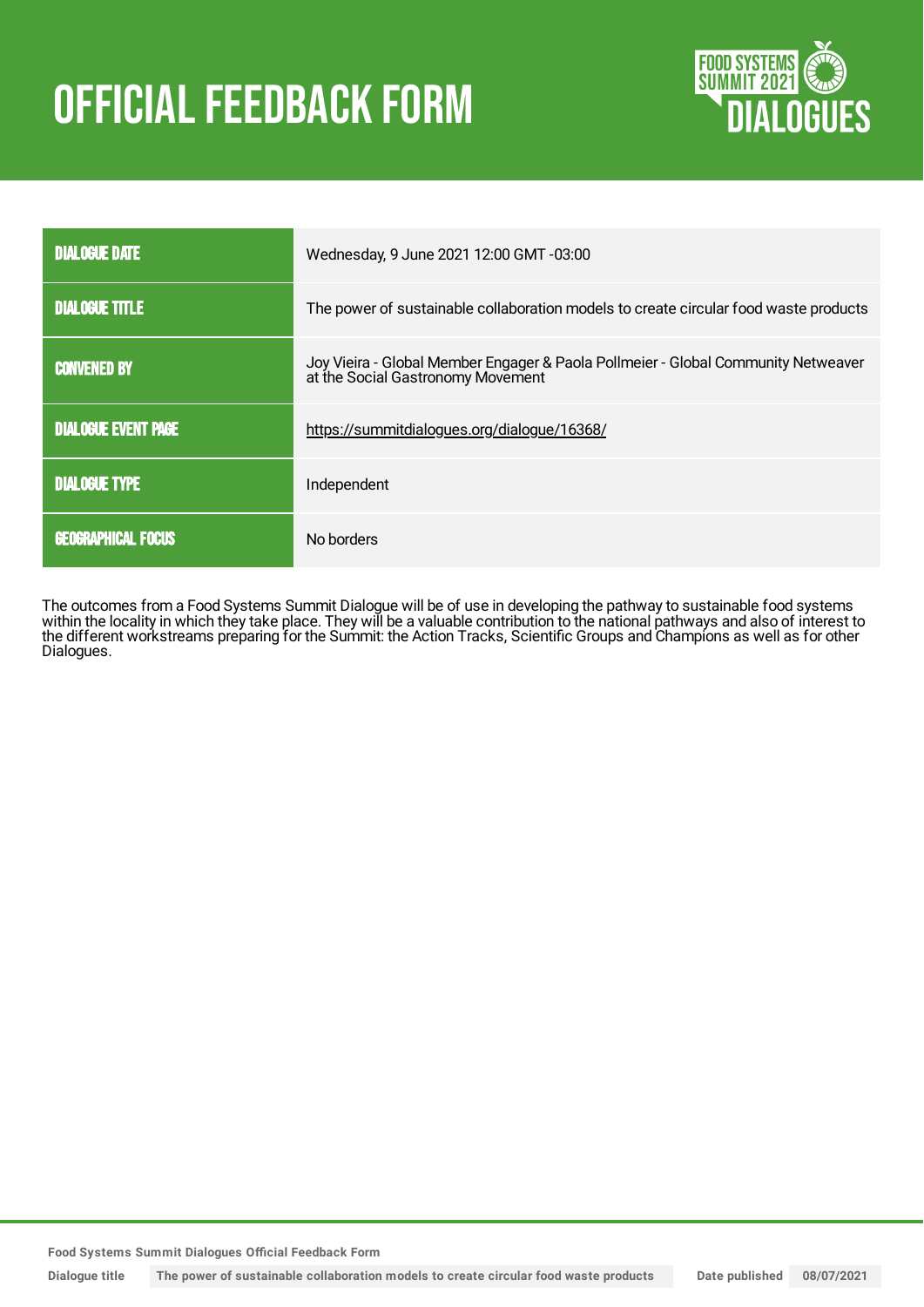# OFFICIAL FEEDBACK FORM



| <b>DIALOGUE DATE</b>       | Wednesday, 9 June 2021 12:00 GMT -03:00                                                                                |
|----------------------------|------------------------------------------------------------------------------------------------------------------------|
| <b>DIALOGUE TITLE</b>      | The power of sustainable collaboration models to create circular food waste products                                   |
| <b>CONVENED BY</b>         | Joy Vieira - Global Member Engager & Paola Pollmeier - Global Community Netweaver<br>at the Social Gastronomy Movement |
| <b>DIALOGUE EVENT PAGE</b> | https://summitdialogues.org/dialogue/16368/                                                                            |
| <b>DIALOGUE TYPE</b>       | Independent                                                                                                            |
| <b>GEOGRAPHICAL FOCUS</b>  | No borders                                                                                                             |

The outcomes from a Food Systems Summit Dialogue will be of use in developing the pathway to sustainable food systems within the locality in which they take place. They will be a valuable contribution to the national pathways and also of interest to the different workstreams preparing for the Summit: the Action Tracks, Scientific Groups and Champions as well as for other Dialogues.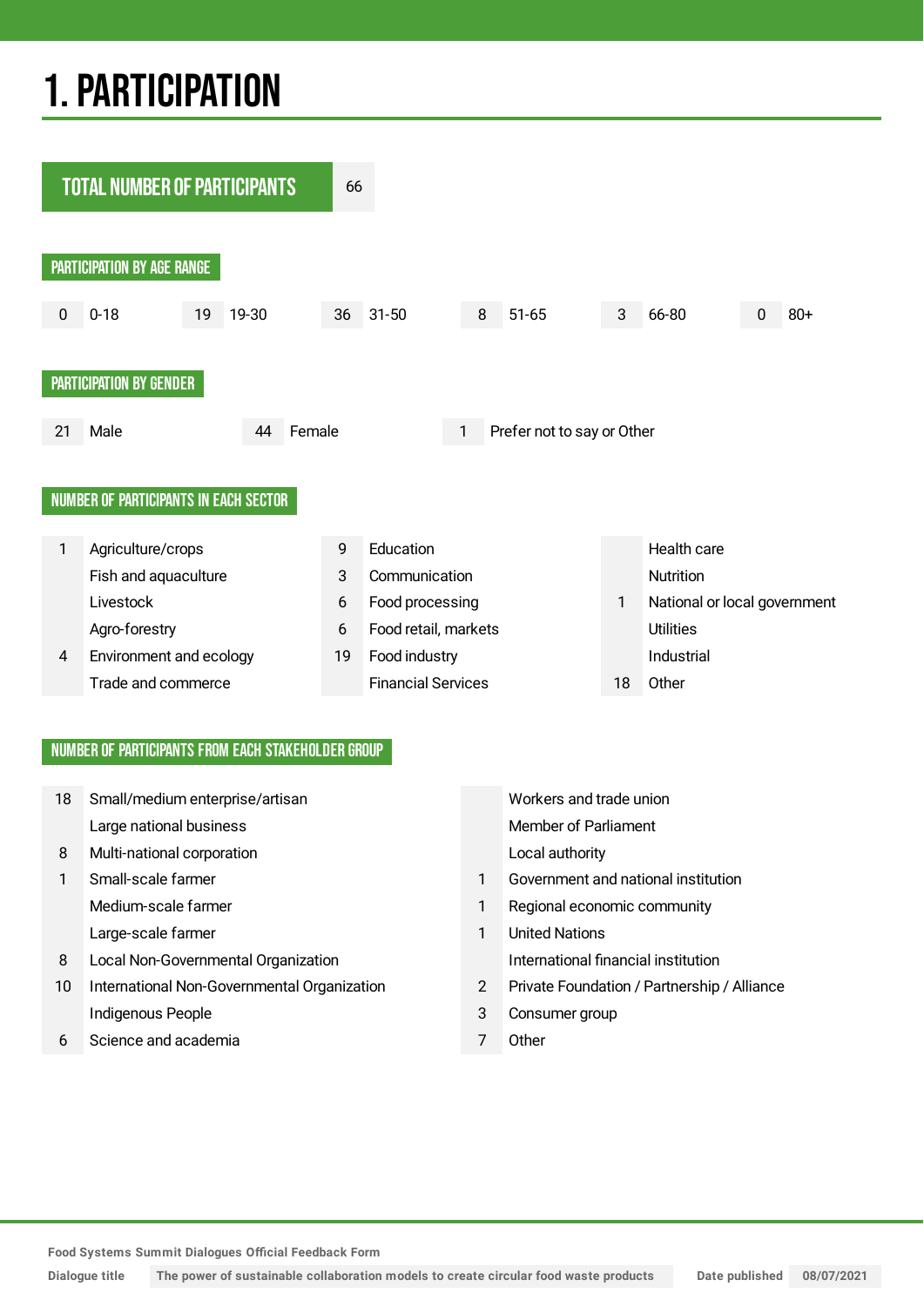## 1.PARTICIPATION



#### NUMBER OF PARTICIPANTS FROM EACH STAKEHOLDER GROUP

| 18 | Small/medium enterprise/artisan             |                | Workers and trade union                     |
|----|---------------------------------------------|----------------|---------------------------------------------|
|    | Large national business                     |                | Member of Parliament                        |
| 8  | Multi-national corporation                  |                | Local authority                             |
|    | Small-scale farmer                          |                | Government and national institution         |
|    | Medium-scale farmer                         | 1              | Regional economic community                 |
|    | Large-scale farmer                          | 1              | <b>United Nations</b>                       |
| 8  | Local Non-Governmental Organization         |                | International financial institution         |
| 10 | International Non-Governmental Organization | $\overline{2}$ | Private Foundation / Partnership / Alliance |
|    | Indigenous People                           | 3              | Consumer group                              |
| 6  | Science and academia                        | 7              | Other                                       |
|    |                                             |                |                                             |

**Food Systems Summit Dialogues Official Feedback Form**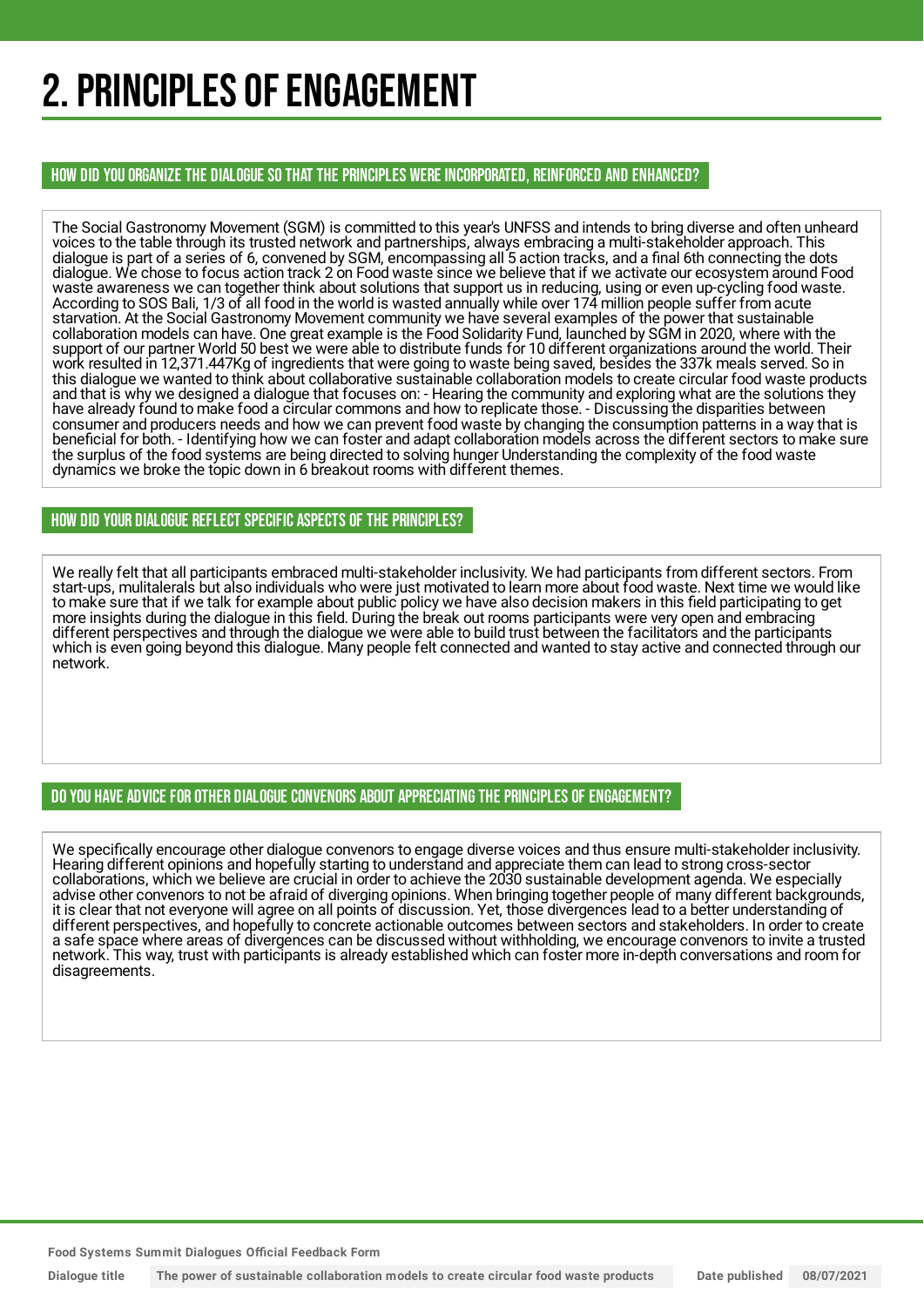## 2. PRINCIPLES OF ENGAGEMENT

HOW DID YOU ORGANIZE THE DIALOGUE SO THAT THE PRINCIPLES WERE INCORPORATED, REINFORCED AND ENHANCED?

The Social Gastronomy Movement (SGM) is committed to this year's UNFSS and intends to bring diverse and often unheard voices to the table through its trusted network and partnerships, always embracing a multi-stakeholder approach. This dialogue is part of a series of 6, convened by SGM, encompassing all 5 action tracks, and a final 6th connecting the dots dialogue. We chose to focus action track 2 on Food waste since we believe that if we activate our ecosystem around Food waste awareness we can together think about solutions that support us in reducing, using or even up-cycling food waste. According to SOS Bali, 1/3 of all food in the world is wasted annually while over 174 million people suffer from acute starvation. At the Social Gastronomy Movement community we have several examples of the power that sustainable collaboration models can have. One great example is the Food Solidarity Fund, launched by SGM in 2020, where with the support of our partner World 50 best we were able to distribute funds for 10 different organizations around the world. Their work resulted in 12,371.447Kg of ingredients that were going to waste being saved, besides the 337k meals served. So in this dialogue we wanted to think about collaborative sustainable collaboration models to create circular food waste products and that is why we designed a dialogue that focuses on: - Hearing the community and exploring what are the solutions they have already found to make food a circular commons and how to replicate those. - Discussing the disparities between consumer and producers needs and how we can prevent food waste by changing the consumption patterns in a way that is beneficial for both. - Identifying how we can foster and adapt collaboration models across the different sectors to make sure the surplus of the food systems are being directed to solving hunger Understanding the complexity of the food waste dynamics we broke the topic down in 6 breakout rooms with different themes.

#### HOW DID YOUR DIALOGUE REFLECT SPECIFIC ASPECTS OF THE PRINCIPLES?

We really felt that all participants embraced multi-stakeholder inclusivity. We had participants from different sectors. From start-ups, mulitalerals but also individuals who were just motivated to learn more about food waste. Next time we would like to make sure that if we talk for example about public policy we have also decision makers in this field participating to get more insights during the dialogue in this field. During the break out rooms participants were very open and embracing different perspectives and through the dialogue we were able to build trust between the facilitators and the participants which is even going beyond this dialogue. Many people felt connected and wanted to stay active and connected through our network.

#### DO YOU HAVE ADVICE FOR OTHER DIALOGUE CONVENORS ABOUT APPRECIATINGTHE PRINCIPLES OF ENGAGEMENT?

We specifically encourage other dialogue convenors to engage diverse voices and thus ensure multi-stakeholder inclusivity. Hearing different opinions and hopefully starting to understand and appreciate them can lead to strong cross-sector collaborations, which we believe are crucial in order to achieve the 2030 sustainable development agenda. We especially advise other convenors to not be afraid of diverging opinions. When bringing together people of many different backgrounds, it is clear that not everyone will agree on all points of discussion. Yet, those divergences lead to a better understanding of different perspectives, and hopefully to concrete actionable outcomes between sectors and stakeholders. In order to create a safe space where areas of divergences can be discussed without withholding, we encourage convenors to invite a trusted network. This way, trust with participants is already established which can foster more in-depth conversations and room for disagreements.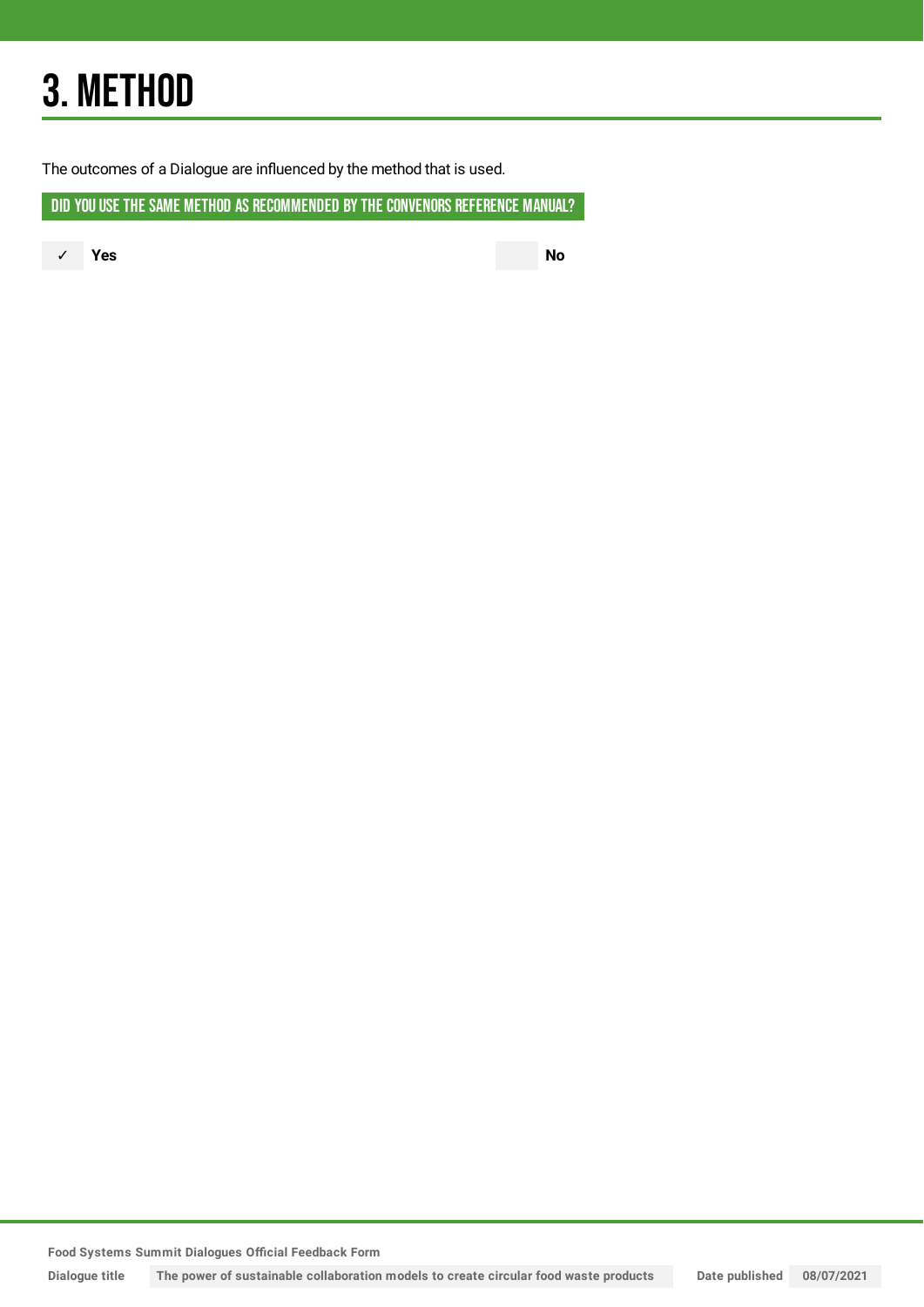## 3. METHOD

The outcomes of a Dialogue are influenced by the method that is used.

DID YOU USE THE SAME METHOD AS RECOMMENDED BY THE CONVENORS REFERENCE MANUAL?

✓ **Yes No**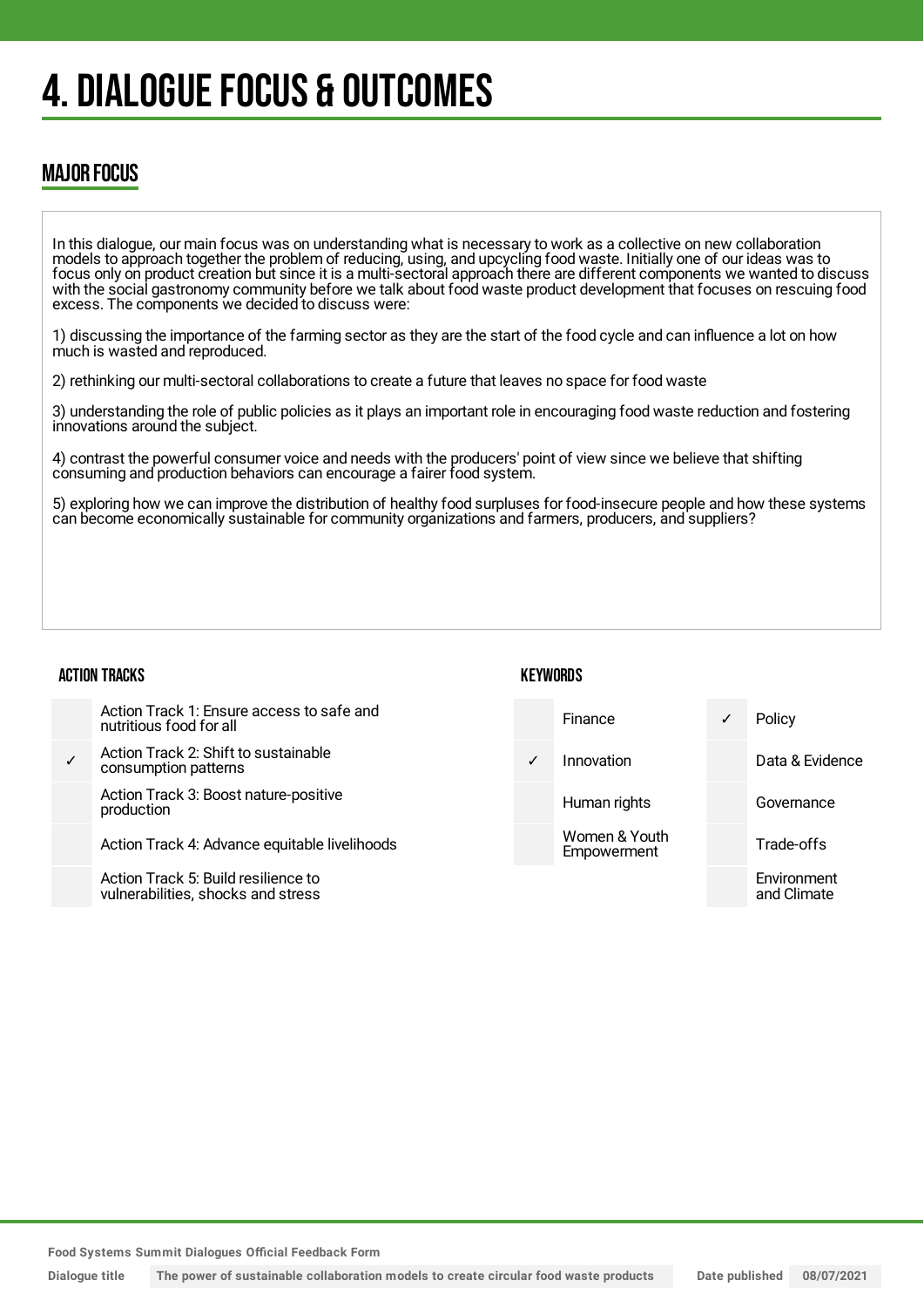## 4. DIALOGUE FOCUS & OUTCOMES

### MAJOR FOCUS

In this dialogue, our main focus was on understanding what is necessary to work as a collective on new collaboration models to approach together the problem of reducing, using, and upcycling food waste. Initially one of our ideas was to focus only on product creation but since it is a multi-sectoral approach there are different components we wanted to discuss with the social gastronomy community before we talk about food waste product development that focuses on rescuing food excess. The components we decided to discuss were:

1) discussing the importance of the farming sector as they are the start of the food cycle and can influence a lot on how much is wasted and reproduced.

2) rethinking our multi-sectoral collaborations to create a future that leaves no space for food waste

3) understanding the role of public policies as it plays an important role in encouraging food waste reduction and fostering innovations around the subject.

4) contrast the powerful consumer voice and needs with the producers' point of view since we believe that shifting consuming and production behaviors can encourage a fairer food system.

5) exploring how we can improve the distribution of healthy food surpluses for food-insecure people and how these systems can become economically sustainable for community organizations and farmers, producers, and suppliers?

**KFYWORDS** 

#### ACTION TRACKS

| Action Track 1: Ensure access to safe and<br>nutritious food for all      | Finance                      | Policy                     |
|---------------------------------------------------------------------------|------------------------------|----------------------------|
| Action Track 2: Shift to sustainable<br>consumption patterns              | Innovation                   | Data & Evidence            |
| Action Track 3: Boost nature-positive<br>production                       | Human rights                 | Governance                 |
| Action Track 4: Advance equitable livelihoods                             | Women & Youth<br>Empowerment | Trade-offs                 |
| Action Track 5: Build resilience to<br>vulnerabilities, shocks and stress |                              | Environment<br>and Climate |

**Food Systems Summit Dialogues Official Feedback Form**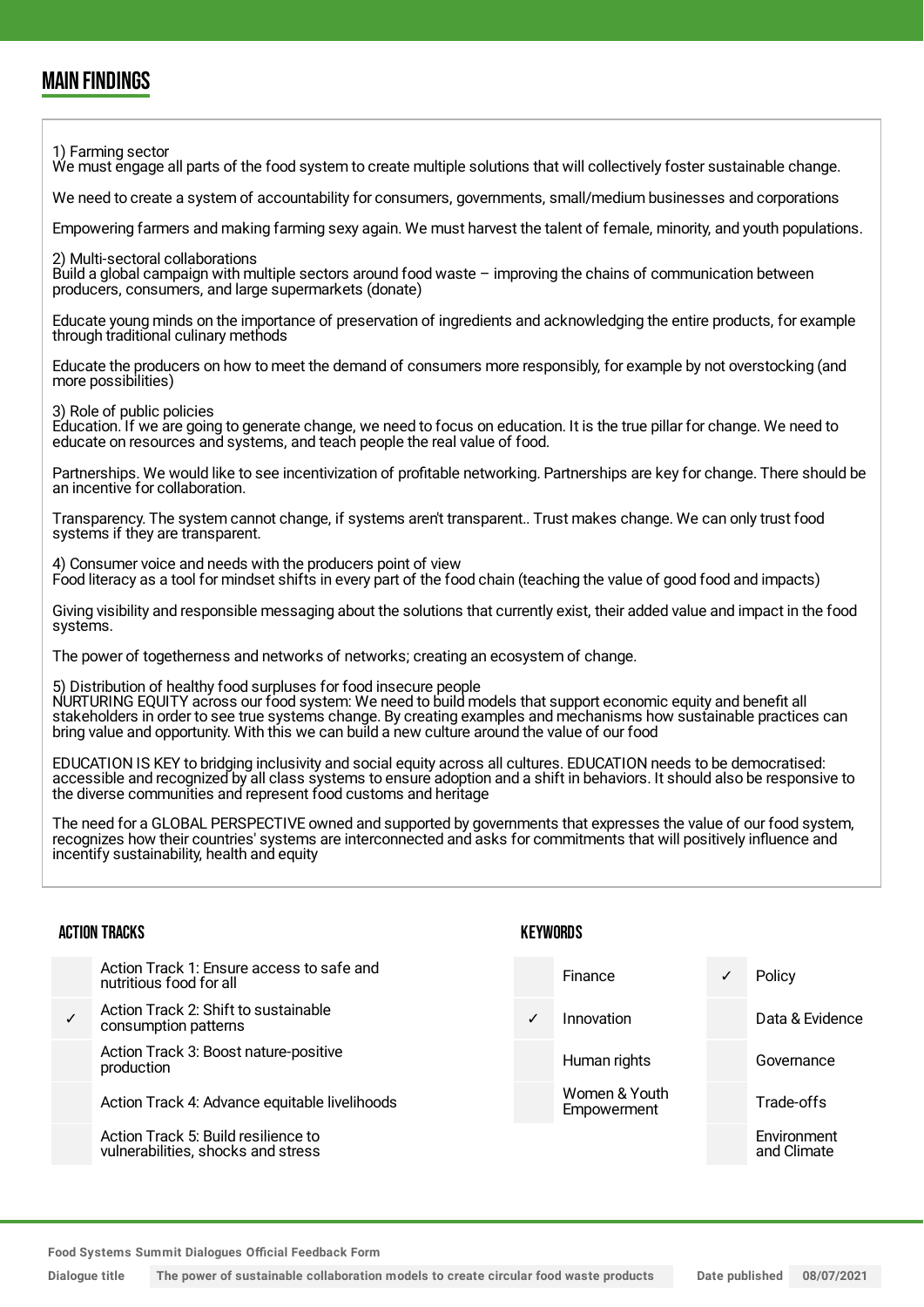### MAIN FINDINGS

1) Farming sector

We must engage all parts of the food system to create multiple solutions that will collectively foster sustainable change.

We need to create a system of accountability for consumers, governments, small/medium businesses and corporations

Empowering farmers and making farming sexy again. We must harvest the talent of female, minority, and youth populations.

2) Multi-sectoral collaborations

Build a global campaign with multiple sectors around food waste – improving the chains of communication between producers, consumers, and large supermarkets (donate)

Educate young minds on the importance of preservation of ingredients and acknowledging the entire products, for example through traditional culinary methods

Educate the producers on how to meet the demand of consumers more responsibly, for example by not overstocking (and more possibilities)

3) Role of public policies

Education. If we are going to generate change, we need to focus on education. It is the true pillar for change. We need to educate on resources and systems, and teach people the real value of food.

Partnerships. We would like to see incentivization of profitable networking. Partnerships are key for change. There should be an incentive for collaboration.

Transparency. The system cannot change, if systems aren't transparent.. Trust makes change. We can only trust food systems if they are transparent.

4) Consumer voice and needs with the producers point of view Food literacy as a tool for mindset shifts in every part of the food chain (teaching the value of good food and impacts)

Giving visibility and responsible messaging about the solutions that currently exist, their added value and impact in the food systems.

The power of togetherness and networks of networks; creating an ecosystem of change.

5) Distribution of healthy food surpluses for food insecure people

NURTURING EQUITY across our food system: We need to build models that support economic equity and benefit all stakeholders in order to see true systems change. By creating examples and mechanisms how sustainable practices can bring value and opportunity. With this we can build a new culture around the value of our food

EDUCATION IS KEY to bridging inclusivity and social equity across all cultures. EDUCATION needs to be democratised: accessible and recognized by all class systems to ensure adoption and a shift in behaviors. It should also be responsive to the diverse communities and represent food customs and heritage

The need for a GLOBAL PERSPECTIVE owned and supported by governments that expresses the value of our food system, recognizes how their countries' systems are interconnected and asks for commitments that will positively influence and incentify sustainability, health and equity

**KEYWORDS** 

#### ACTION TRACKS

| Action Track 1: Ensure access to safe and<br>nutritious food for all      | Finance                      | ✓ | Policy                     |
|---------------------------------------------------------------------------|------------------------------|---|----------------------------|
| Action Track 2: Shift to sustainable<br>consumption patterns              | Innovation                   |   | Data & Evidence            |
| Action Track 3: Boost nature-positive<br>production                       | Human rights                 |   | Governance                 |
| Action Track 4: Advance equitable livelihoods                             | Women & Youth<br>Empowerment |   | Trade-offs                 |
| Action Track 5: Build resilience to<br>vulnerabilities, shocks and stress |                              |   | Environment<br>and Climate |
|                                                                           |                              |   |                            |

**Food Systems Summit Dialogues Official Feedback Form**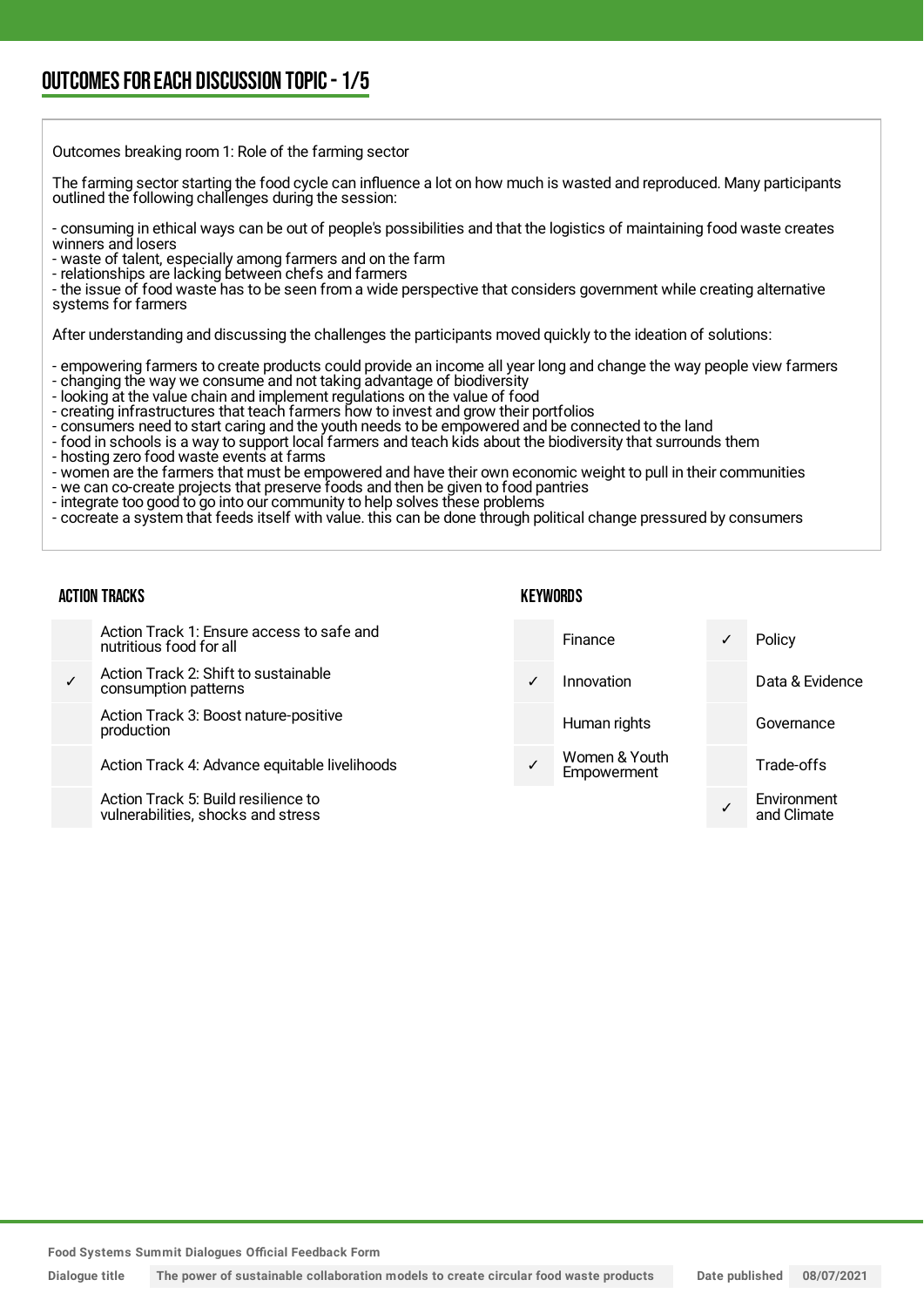## OUTCOMESFOR EACH DISCUSSION TOPIC- 1/5

| Outcomes breaking room 1: Role of the farming sector                                                                                                                                                                                                                                                                                                                                                                                                                                                                                                                                                                                                                                                                                                                                                                                                                                                                                |
|-------------------------------------------------------------------------------------------------------------------------------------------------------------------------------------------------------------------------------------------------------------------------------------------------------------------------------------------------------------------------------------------------------------------------------------------------------------------------------------------------------------------------------------------------------------------------------------------------------------------------------------------------------------------------------------------------------------------------------------------------------------------------------------------------------------------------------------------------------------------------------------------------------------------------------------|
| The farming sector starting the food cycle can influence a lot on how much is wasted and reproduced. Many participants<br>outlined the following challenges during the session:                                                                                                                                                                                                                                                                                                                                                                                                                                                                                                                                                                                                                                                                                                                                                     |
| - consuming in ethical ways can be out of people's possibilities and that the logistics of maintaining food waste creates<br>winners and losers<br>- waste of talent, especially among farmers and on the farm<br>- relationships are lacking between chefs and farmers<br>- the issue of food waste has to be seen from a wide perspective that considers government while creating alternative<br>systems for farmers                                                                                                                                                                                                                                                                                                                                                                                                                                                                                                             |
| After understanding and discussing the challenges the participants moved quickly to the ideation of solutions:                                                                                                                                                                                                                                                                                                                                                                                                                                                                                                                                                                                                                                                                                                                                                                                                                      |
| - empowering farmers to create products could provide an income all year long and change the way people view farmers<br>- changing the way we consume and not taking advantage of biodiversity<br>- looking at the value chain and implement regulations on the value of food<br>- creating infrastructures that teach farmers how to invest and grow their portfolios<br>- consumers need to start caring and the youth needs to be empowered and be connected to the land<br>- food in schools is a way to support local farmers and teach kids about the biodiversity that surrounds them<br>- hosting zero food waste events at farms<br>- women are the farmers that must be empowered and have their own economic weight to pull in their communities<br>- we can co-create projects that preserve foods and then be given to food pantries<br>intanuata taa maad ta'uu inta armaanaarnaitrita balm aaliyaa thaaa mualdanaa . |

- integrate too good to go into our community to help solves these problems
- cocreate a system that feeds itself with value. this can be done through political change pressured by consumers

#### ACTION TRACKS

#### **KEYWORDS**

|              | Action Track 1: Ensure access to safe and<br>nutritious food for all      |              | Finance                      | ✓ | Policy                     |
|--------------|---------------------------------------------------------------------------|--------------|------------------------------|---|----------------------------|
| $\checkmark$ | Action Track 2: Shift to sustainable<br>consumption patterns              | $\checkmark$ | Innovation                   |   | Data & Evidence            |
|              | Action Track 3: Boost nature-positive<br>production                       |              | Human rights                 |   | Governance                 |
|              | Action Track 4: Advance equitable livelihoods                             |              | Women & Youth<br>Empowerment |   | Trade-offs                 |
|              | Action Track 5: Build resilience to<br>vulnerabilities, shocks and stress |              |                              |   | Environment<br>and Climate |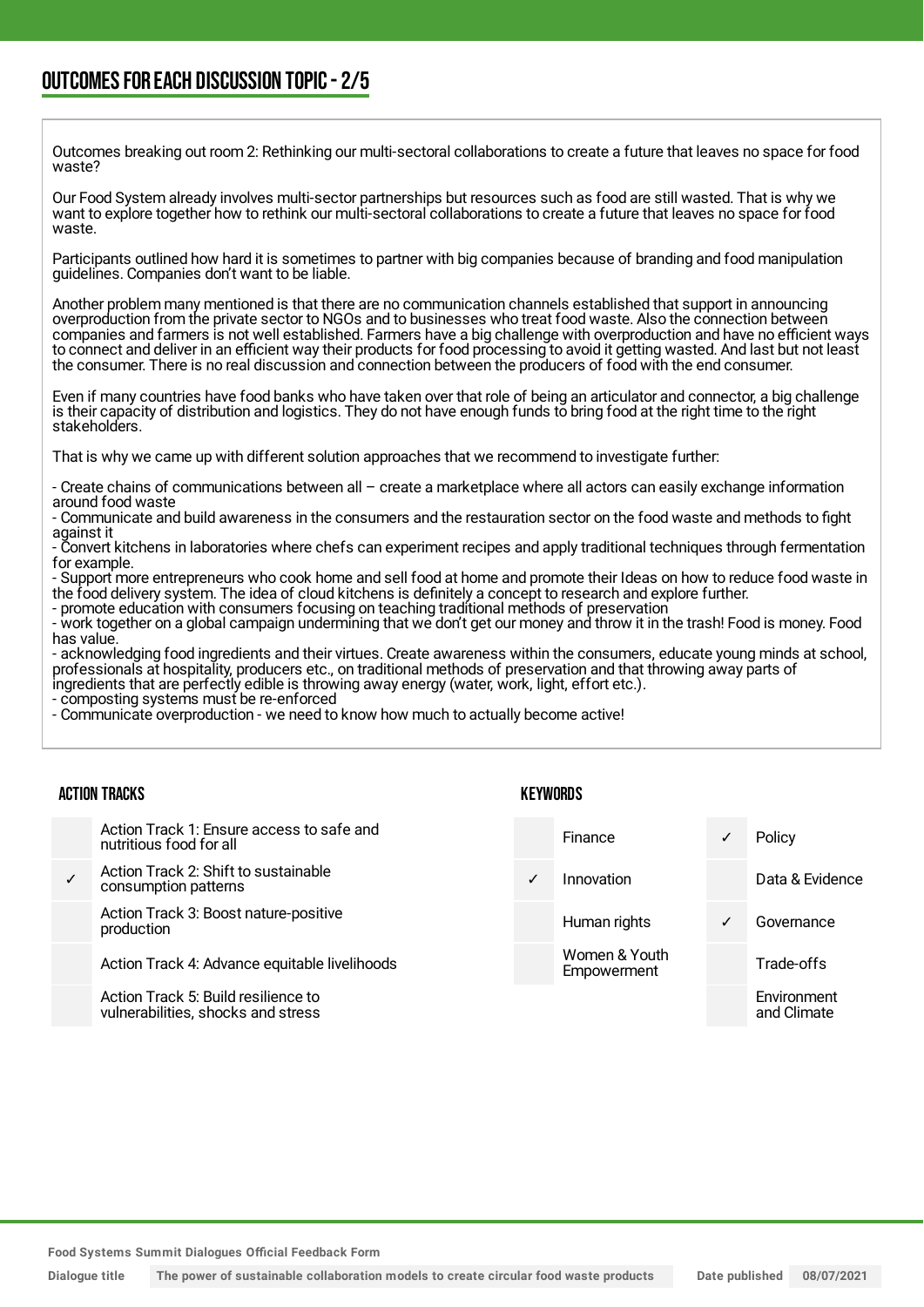Outcomes breaking out room 2: Rethinking our multi-sectoral collaborations to create a future that leaves no space for food waste?

Our Food System already involves multi-sector partnerships but resources such as food are still wasted. That is why we want to explore together how to rethink our multi-sectoral collaborations to create a future that leaves no space for food waste.

Participants outlined how hard it is sometimes to partner with big companies because of branding and food manipulation guidelines. Companies don't want to be liable.

Another problem many mentioned is that there are no communication channels established that support in announcing overproduction from the private sector to NGOs and to businesses who treat food waste. Also the connection between companies and farmers is not well established. Farmers have a big challenge with overproduction and have no efficient ways to connect and deliver in an efficient way their products for food processing to avoid it getting wasted. And last but not least the consumer. There is no real discussion and connection between the producers of food with the end consumer.

Even if many countries have food banks who have taken over that role of being an articulator and connector, a big challenge is their capacity of distribution and logistics. They do not have enough funds to bring food at the right time to the right stakeholders.

That is why we came up with different solution approaches that we recommend to investigate further:

- Create chains of communications between all – create a marketplace where all actors can easily exchange information around food waste

- Communicate and build awareness in the consumers and the restauration sector on the food waste and methods to fight against it

- Convert kitchens in laboratories where chefs can experiment recipes and apply traditional techniques through fermentation for example.

- Support more entrepreneurs who cook home and sell food at home and promote their Ideas on how to reduce food waste in the food delivery system. The idea of cloud kitchens is definitely a concept to research and explore further.

- promote education with consumers focusing on teaching traditional methods of preservation - work together on a global campaign undermining that we don't get our money and throw it in the trash! Food is money. Food has value.

- acknowledging food ingredients and their virtues. Create awareness within the consumers, educate young minds at school, professionals at hospitality, producers etc., on traditional methods of preservation and that throwing away parts of ingredients that are perfectly edible is throwing away energy (water, work, light, effort etc.).

- composting systems must be re-enforced

- Communicate overproduction - we need to know how much to actually become active!

| <b>ACTION TRACKS</b> |                                                                           | KEYWORDS     |                              |   |                            |
|----------------------|---------------------------------------------------------------------------|--------------|------------------------------|---|----------------------------|
|                      | Action Track 1: Ensure access to safe and<br>nutritious food for all      |              | Finance                      | ✓ | Policy                     |
|                      | Action Track 2: Shift to sustainable<br>consumption patterns              | $\checkmark$ | Innovation                   |   | Data & Evidence            |
|                      | Action Track 3: Boost nature-positive<br>production                       |              | Human rights                 | ✓ | Governance                 |
|                      | Action Track 4: Advance equitable livelihoods                             |              | Women & Youth<br>Empowerment |   | Trade-offs                 |
|                      | Action Track 5: Build resilience to<br>vulnerabilities, shocks and stress |              |                              |   | Environment<br>and Climate |

**Food Systems Summit Dialogues Official Feedback Form**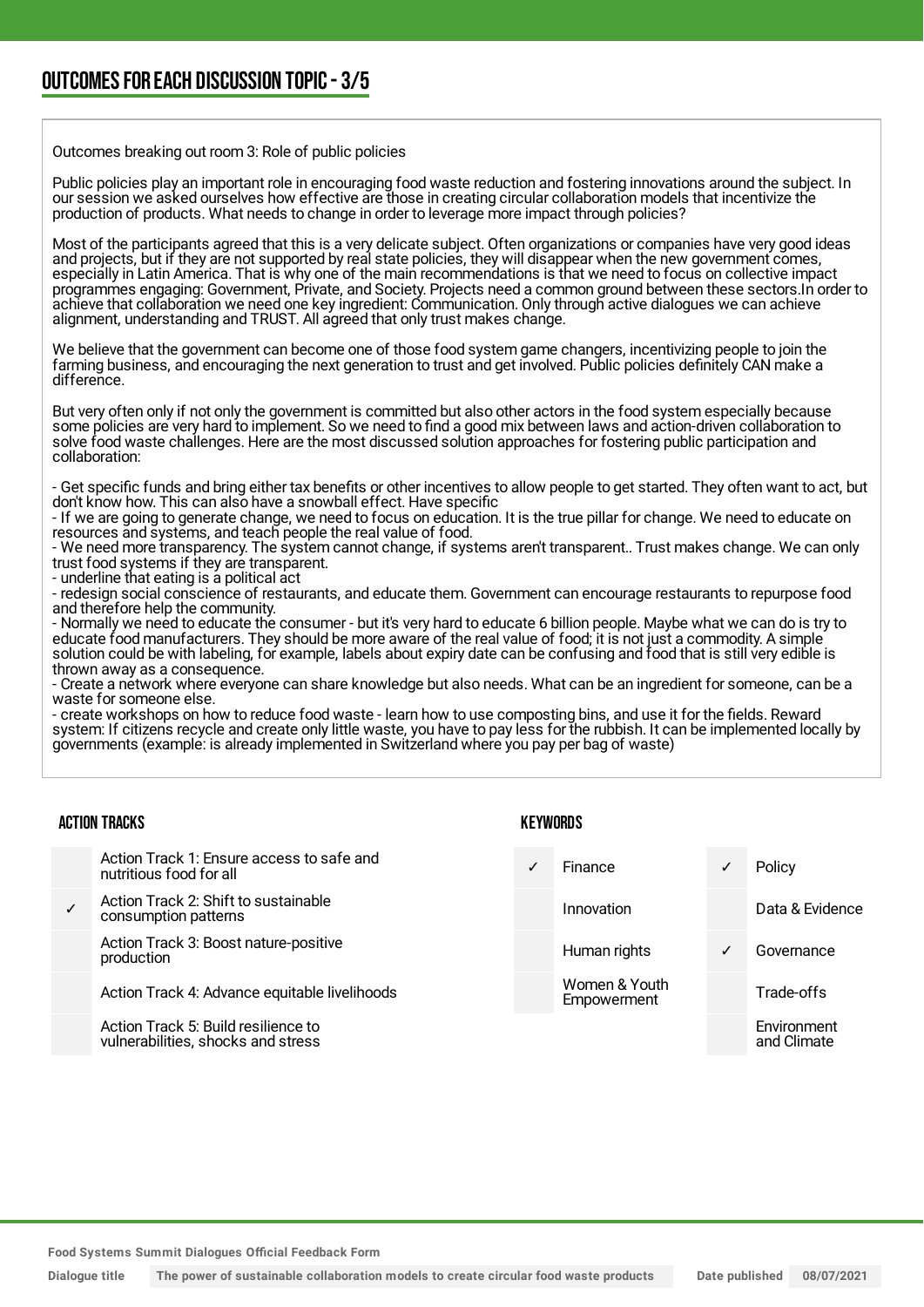Outcomes breaking out room 3: Role of public policies

Public policies play an important role in encouraging food waste reduction and fostering innovations around the subject. In our session we asked ourselves how effective are those in creating circular collaboration models that incentivize the production of products. What needs to change in order to leverage more impact through policies?

Most of the participants agreed that this is a very delicate subject. Often organizations or companies have very good ideas and projects, but if they are not supported by real state policies, they will disappear when the new government comes, especially in Latin America. That is why one of the main recommendations is that we need to focus on collective impact programmes engaging: Government, Private, and Society. Projects need a common ground between these sectors.In order to achieve that collaboration we need one key ingredient: Communication. Only through active dialogues we can achieve alignment, understanding and TRUST. All agreed that only trust makes change.

We believe that the government can become one of those food system game changers, incentivizing people to join the farming business, and encouraging the next generation to trust and get involved. Public policies definitely CAN make a difference.

But very often only if not only the government is committed but also other actors in the food system especially because some policies are very hard to implement. So we need to find a good mix between laws and action-driven collaboration to solve food waste challenges. Here are the most discussed solution approaches for fostering public participation and collaboration:

- Get specific funds and bring either tax benefits or other incentives to allow people to get started. They often want to act, but don't know how. This can also have a snowball effect. Have specific

- If we are going to generate change, we need to focus on education. It is the true pillar for change. We need to educate on resources and systems, and teach people the real value of food.

- We need more transparency. The system cannot change, if systems aren't transparent.. Trust makes change. We can only trust food systems if they are transparent.

- underline that eating is a political act

- redesign social conscience of restaurants, and educate them. Government can encourage restaurants to repurpose food and therefore help the community.

- Normally we need to educate the consumer - but it's very hard to educate 6 billion people. Maybe what we can do is try to educate food manufacturers. They should be more aware of the real value of food; it is not just a commodity. A simple solution could be with labeling, for example, labels about expiry date can be confusing and food that is still very edible is thrown away as a consequence.

- Create a network where everyone can share knowledge but also needs. What can be an ingredient for someone, can be a waste for someone else.

- create workshops on how to reduce food waste - learn how to use composting bins, and use it for the fields. Reward system: If citizens recycle and create only little waste, you have to pay less for the rubbish. It can be implemented locally by governments (example: is already implemented in Switzerland where you pay per bag of waste)

**KEYWORDS** 

#### ACTION TRACKS

Action Track 1: Ensure access to safe and nutritious food for all

✓ Action Track 2: Shift to sustainable consumption patterns

> Action Track 3: Boost nature-positive production

Action Track 4: Advance equitable livelihoods

Action Track 5: Build resilience to vulnerabilities, shocks and stress

### Finance **∠** Policy Innovation Data & Evidence Human rights **V** Governance Women & Youth **Empowerment** Trade-offs Environment and Climate

**Food Systems Summit Dialogues Official Feedback Form**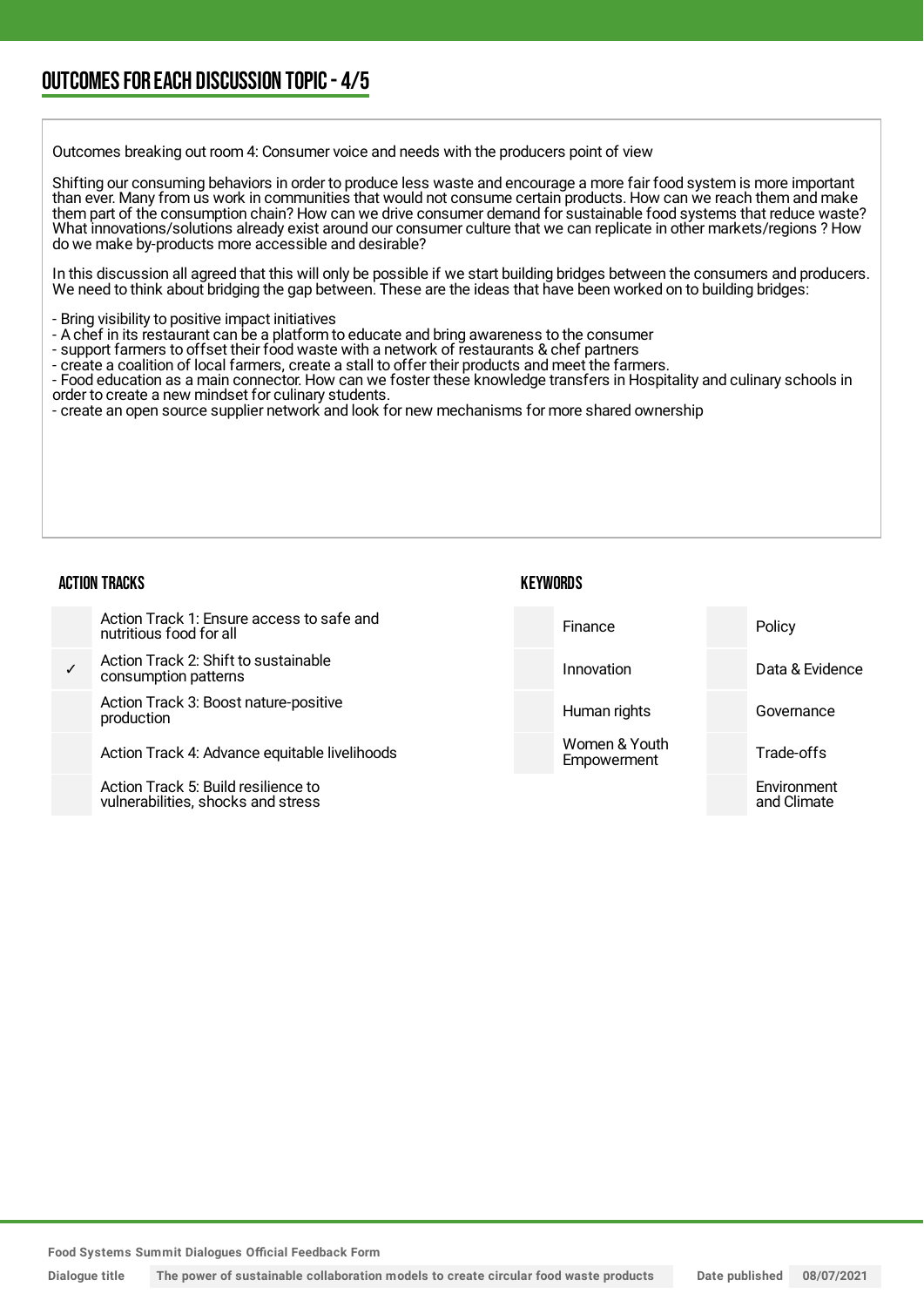Outcomes breaking out room 4: Consumer voice and needs with the producers point of view

Shifting our consuming behaviors in order to produce less waste and encourage a more fair food system is more important than ever. Many from us work in communities that would not consume certain products. How can we reach them and make them part of the consumption chain? How can we drive consumer demand for sustainable food systems that reduce waste? What innovations/solutions already exist around our consumer culture that we can replicate in other markets/regions ? How do we make by-products more accessible and desirable?

In this discussion all agreed that this will only be possible if we start building bridges between the consumers and producers. We need to think about bridging the gap between. These are the ideas that have been worked on to building bridges:

- Bring visibility to positive impact initiatives
- A chef in its restaurant can be a platform to educate and bring awareness to the consumer
- support farmers to offset their food waste with a network of restaurants & chef partners
- create a coalition of local farmers, create a stall to offer their products and meet the farmers.
- Food education as a main connector. How can we foster these knowledge transfers in Hospitality and culinary schools in order to create a new mindset for culinary students.
- create an open source supplier network and look for new mechanisms for more shared ownership

#### ACTION TRACKS

#### **KEYWORDS**

| Action Track 1: Ensure access to safe and<br>nutritious food for all | <b>Finance</b>               | Policy          |
|----------------------------------------------------------------------|------------------------------|-----------------|
| Action Track 2: Shift to sustainable<br>consumption patterns         | Innovation                   | Data & Evidence |
| Action Track 3: Boost nature-positive<br>production                  | Human rights                 | Governance      |
| Action Track 4: Advance equitable livelihoods                        | Women & Youth<br>Empowerment | Trade-offs      |
| Action Track 5: Build resilience to                                  |                              | Environment     |

**Food Systems Summit Dialogues Official Feedback Form**

vulnerabilities, shocks and stress

and Climate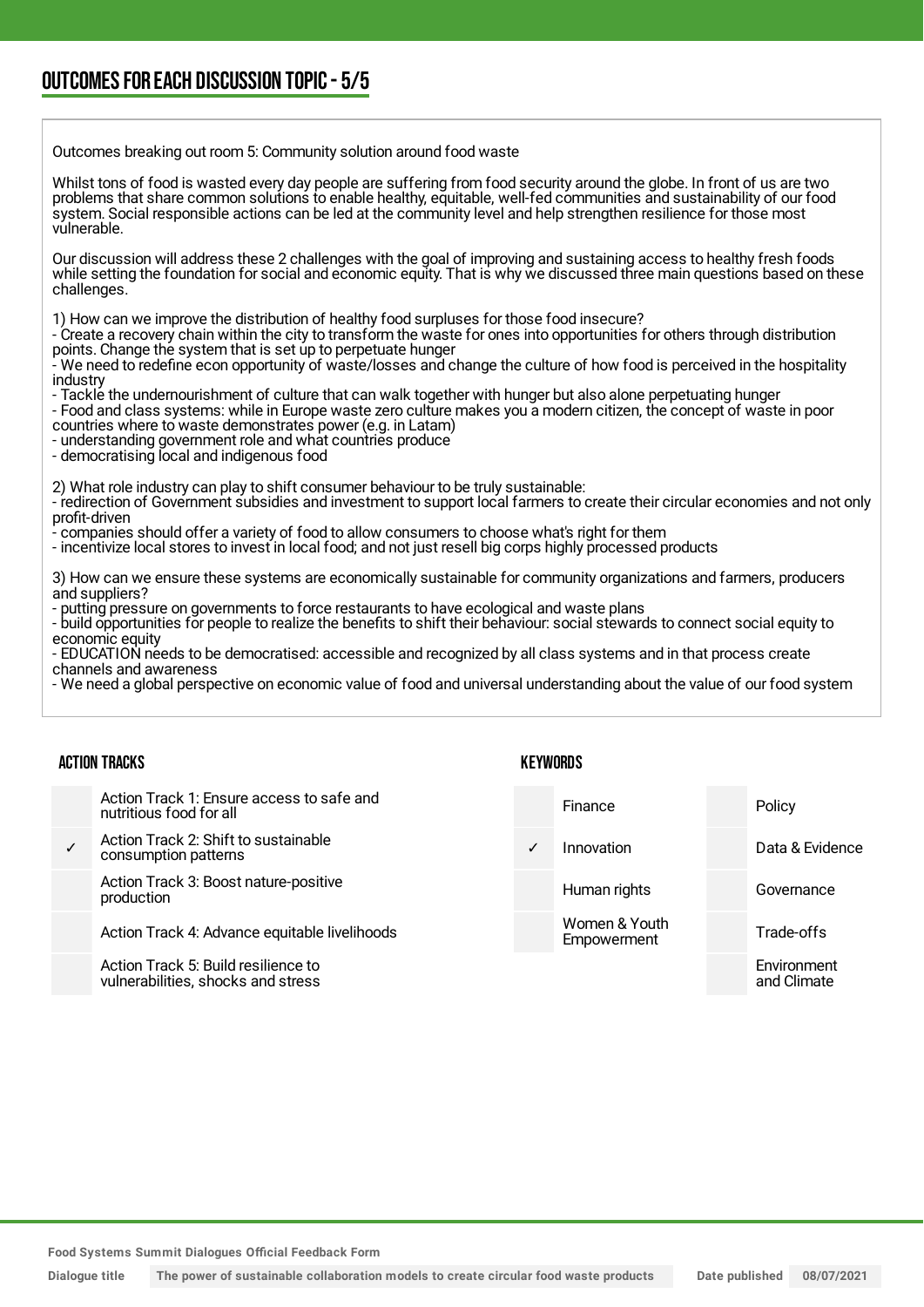### OUTCOMESFOR EACH DISCUSSION TOPIC- 5/5

Outcomes breaking out room 5: Community solution around food waste

Whilst tons of food is wasted every day people are suffering from food security around the globe. In front of us are two problems that share common solutions to enable healthy, equitable, well-fed communities and sustainability of our food system. Social responsible actions can be led at the community level and help strengthen resilience for those most vulnerable.

Our discussion will address these 2 challenges with the goal of improving and sustaining access to healthy fresh foods while setting the foundation for social and economic equity. That is why we discussed three main questions based on these challenges.

1) How can we improve the distribution of healthy food surpluses for those food insecure?

- Create a recovery chain within the city to transform the waste for ones into opportunities for others through distribution points. Change the system that is set up to perpetuate hunger

- We need to redefine econ opportunity of waste/losses and change the culture of how food is perceived in the hospitality industry

- Tackle the undernourishment of culture that can walk together with hunger but also alone perpetuating hunger

- Food and class systems: while in Europe waste zero culture makes you a modern citizen, the concept of waste in poor countries where to waste demonstrates power (e.g. in Latam)

- understanding government role and what countries produce

- democratising local and indigenous food

2) What role industry can play to shift consumer behaviour to be truly sustainable:

- redirection of Government subsidies and investment to support local farmers to create their circular economies and not only profit-driven

- companies should offer a variety of food to allow consumers to choose what's right for them

- incentivize local stores to invest in local food; and not just resell big corps highly processed products

3) How can we ensure these systems are economically sustainable for community organizations and farmers, producers and suppliers?

- putting pressure on governments to force restaurants to have ecological and waste plans

- build opportunities for people to realize the benefits to shift their behaviour: social stewards to connect social equity to economic equity

- EDUCATION needs to be democratised: accessible and recognized by all class systems and in that process create channels and awareness

- We need a global perspective on economic value of food and universal understanding about the value of our food system

#### ACTION TRACKS

Action Track 1: Ensure access to safe and nutritious food for all

✓ Action Track 2: Shift to sustainable consumption patterns

> Action Track 3: Boost nature-positive production

Action Track 4: Advance equitable livelihoods

Action Track 5: Build resilience to vulnerabilities, shocks and stress

#### **KEYWORDS**

Finance Policy Innovation Data & Evidence Human rights **Governance** Women & Youth Empowerment Trade-offs **Environment** and Climate

**Food Systems Summit Dialogues Official Feedback Form**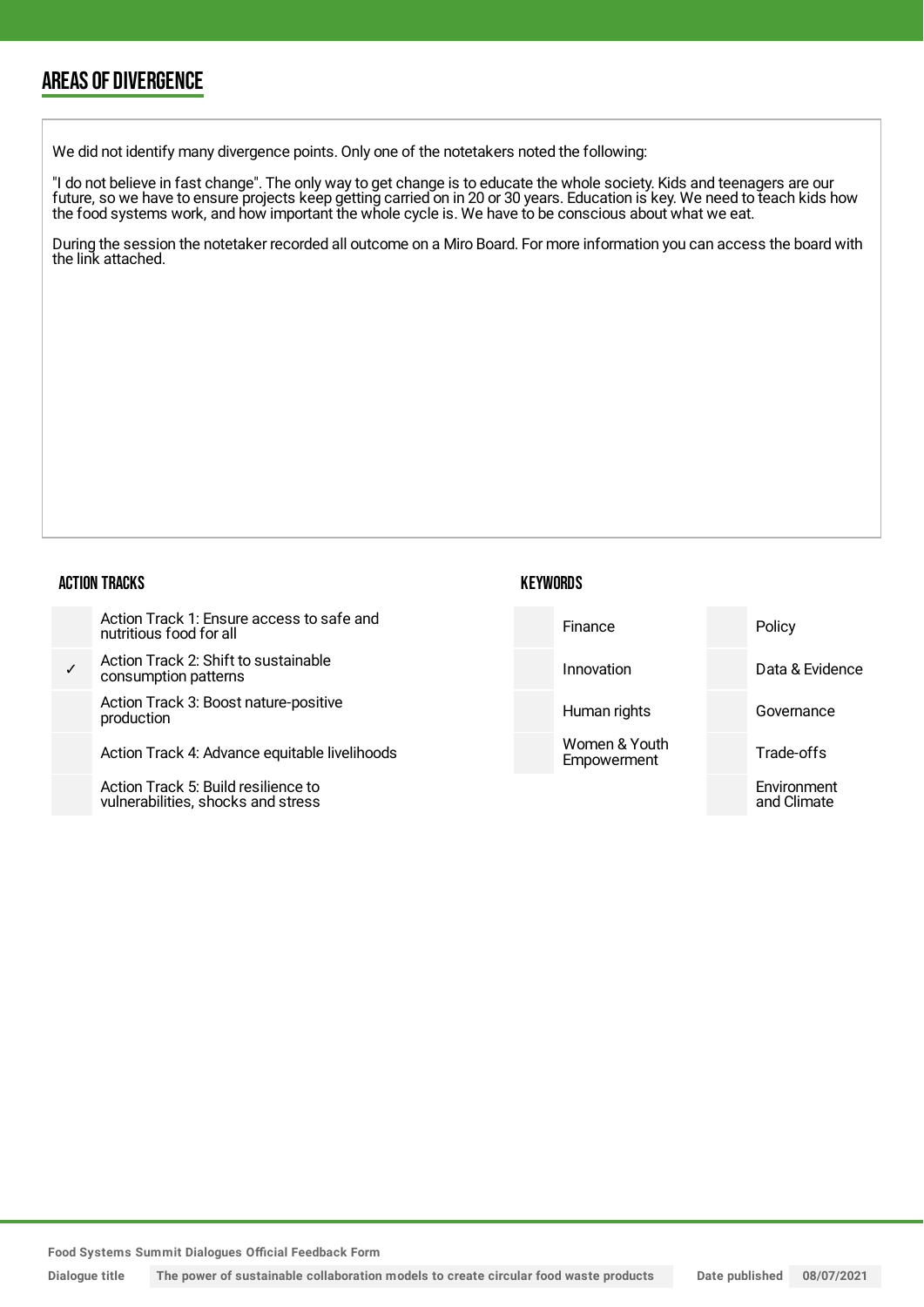### AREAS OF DIVERGENCE

We did not identify many divergence points. Only one of the notetakers noted the following:

"I do not believe in fast change". The only way to get change is to educate the whole society. Kids and teenagers are our future, so we have to ensure projects keep getting carried on in 20 or 30 years. Education is key. We need to teach kids how the food systems work, and how important the whole cycle is. We have to be conscious about what we eat.

During the session the notetaker recorded all outcome on a Miro Board. For more information you can access the board with the link attached.

#### ACTION TRACKS

✓ **Action Tra** consumpt

> Action Tra production

Action Tra

Action Tra vulnerabili

| ick 1: Ensure access to safe and<br>food for all      | Finance                      | Policy                     |
|-------------------------------------------------------|------------------------------|----------------------------|
| ck 2: Shift to sustainable<br>ion patterns:           | Innovation                   | Data & Evidence            |
| ick 3: Boost nature-positive                          | Human rights                 | Governance                 |
| ick 4: Advance equitable livelihoods                  | Women & Youth<br>Empowerment | Trade-offs                 |
| ck 5: Build resilience to<br>ities, shocks and stress |                              | Environment<br>and Climate |

**Food Systems Summit Dialogues Official Feedback Form**